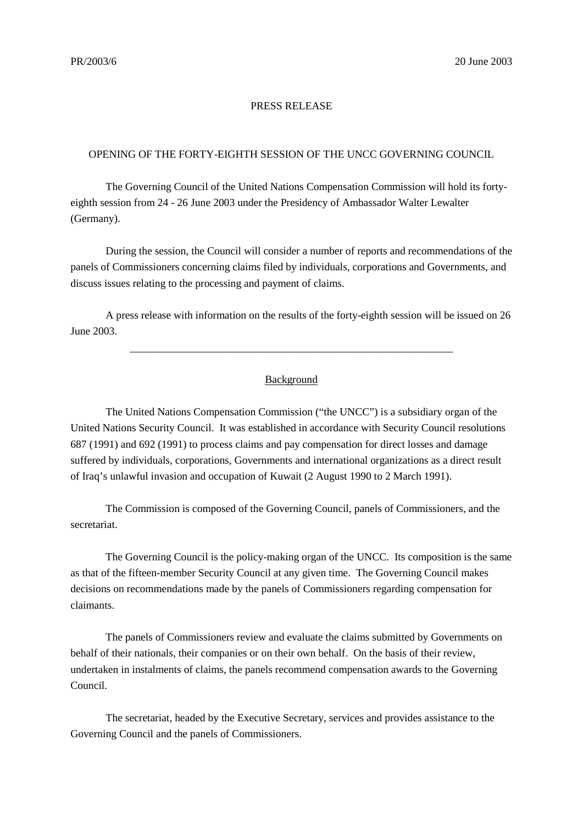## PRESS RELEASE

## OPENING OF THE FORTY-EIGHTH SESSION OF THE UNCC GOVERNING COUNCIL

The Governing Council of the United Nations Compensation Commission will hold its fortyeighth session from 24 - 26 June 2003 under the Presidency of Ambassador Walter Lewalter (Germany).

During the session, the Council will consider a number of reports and recommendations of the panels of Commissioners concerning claims filed by individuals, corporations and Governments, and discuss issues relating to the processing and payment of claims.

A press release with information on the results of the forty-eighth session will be issued on 26 June 2003.

\_\_\_\_\_\_\_\_\_\_\_\_\_\_\_\_\_\_\_\_\_\_\_\_\_\_\_\_\_\_\_\_\_\_\_\_\_\_\_\_\_\_\_\_\_\_\_\_\_\_\_\_\_\_\_\_\_\_\_\_

## Background

The United Nations Compensation Commission ("the UNCC") is a subsidiary organ of the United Nations Security Council. It was established in accordance with Security Council resolutions 687 (1991) and 692 (1991) to process claims and pay compensation for direct losses and damage suffered by individuals, corporations, Governments and international organizations as a direct result of Iraq's unlawful invasion and occupation of Kuwait (2 August 1990 to 2 March 1991).

The Commission is composed of the Governing Council, panels of Commissioners, and the secretariat.

The Governing Council is the policy-making organ of the UNCC. Its composition is the same as that of the fifteen-member Security Council at any given time. The Governing Council makes decisions on recommendations made by the panels of Commissioners regarding compensation for claimants.

The panels of Commissioners review and evaluate the claims submitted by Governments on behalf of their nationals, their companies or on their own behalf. On the basis of their review, undertaken in instalments of claims, the panels recommend compensation awards to the Governing Council.

The secretariat, headed by the Executive Secretary, services and provides assistance to the Governing Council and the panels of Commissioners.